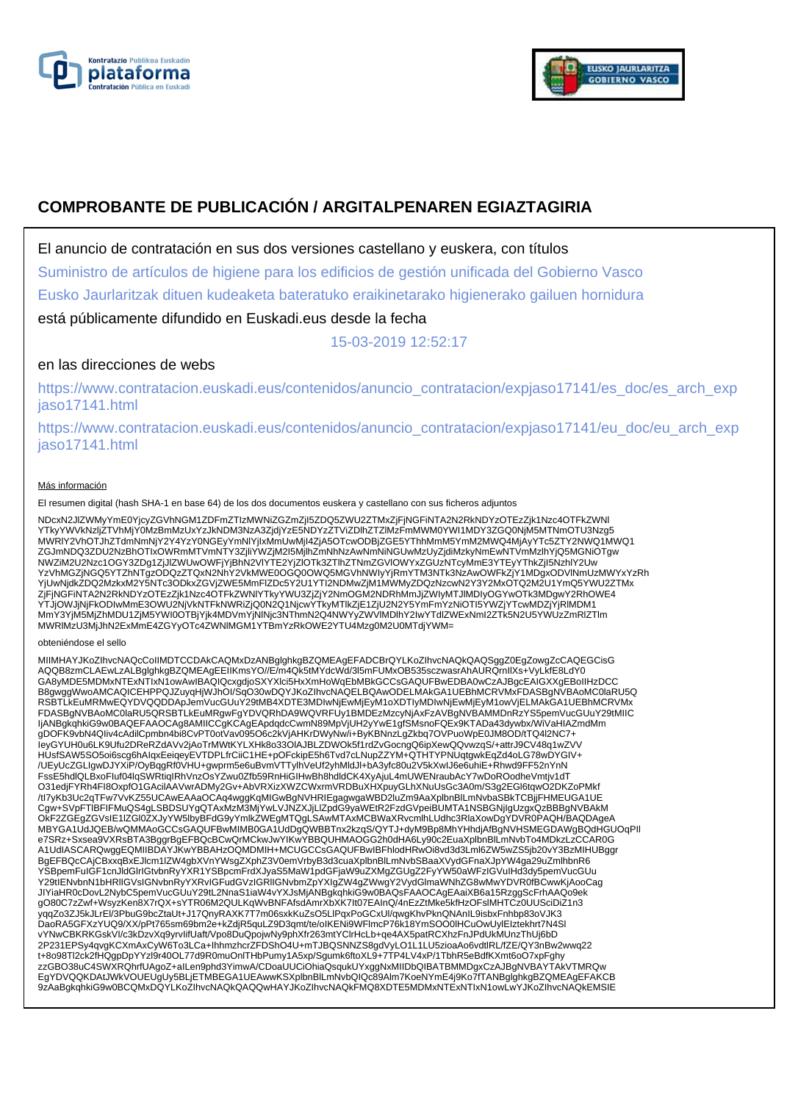



# **COMPROBANTE DE PUBLICACIÓN / ARGITALPENAREN EGIAZTAGIRIA**

El anuncio de contratación en sus dos versiones castellano y euskera, con títulos

Suministro de artículos de higiene para los edificios de gestión unificada del Gobierno Vasco

Eusko Jaurlaritzak dituen kudeaketa bateratuko eraikinetarako higienerako gailuen hornidura

está públicamente difundido en Euskadi.eus desde la fecha

15-03-2019 12:52:17

## en las direcciones de webs

https://www.contratacion.euskadi.eus/contenidos/anuncio\_contratacion/expjaso17141/es\_doc/es\_arch\_exp jaso17141.html

https://www.contratacion.euskadi.eus/contenidos/anuncio\_contratacion/expjaso17141/eu\_doc/eu\_arch\_exp jaso17141.html

#### Más información

El resumen digital (hash SHA-1 en base 64) de los dos documentos euskera y castellano con sus ficheros adjuntos

NDcxN2JIZWMyYmE0YjcyZGVhNGM1ZDFmZTIzMWNiZGZmZjI5ZDQ5ZWU2ZTMxZjFjNGFiNTA2N2RkNDYzOTEzZjk1Nzc4OTFkZWNI<br>YTkyYWVkNzIjZTVhMjY0MzBmMzUxYzJkNDM3NzA3ZjdjYzE5NDYzZTViZDIhZTZIMzFmMWM0YWI1MDY3ZGQ0NjM5MTNmOTU3Nzg5<br>MWRIY2VhOTJhZTdmNmNj ZGJmNDQ3ZDU2NzBhOTIxOWRmMTVmNTY3ZjliYWZjM2I5MjlhZmNhNzAwNmNiNGUwMzUyZjdiMzkyNmEwNTVmMzlhYjQ5MGNiOTgw NWZiM2U2Nzc1OGY3ZDg1ZjJlZWUwOWFjYjBhN2VlYTE2YjZlOTk3ZTlhZTNmZGVlOWYxZGUzNTcyMmE3YTEyYThkZjI5NzhlY2Uw YzVhMGZjNGQ5YTZhNTgzODQzZTQxN2NhY2VkMWE0OGQ0OWQ5MGVhNWIyYjRmYTM3NTk3NzAwOWFkZjY1MDgxODVlNmUzMWYxYzRh YjUwNjdkZDQ2MzkxM2Y5NTc3ODkxZGVjZWE5MmFlZDc5Y2U1YTI2NDMwZjM1MWMyZDQzNzcwN2Y3Y2MxOTQ2M2U1YmQ5YWU2ZTMx ZjFjNGFiNTA2N2RkNDYzOTEzZjk1Nzc4OTFkZWNlYTkyYWU3ZjZjY2NmOGM2NDRhMmJjZWIyMTJlMDIyOGYwOTk3MDgwY2RhOWE4 YTJjOWJjNjFkODIwMmE3OWU2NjVkNTFkNWRiZjQ0N2Q1NjcwYTkyMTlkZjE1ZjU2N2Y5YmFmYzNiOTI5YWZjYTcwMDZjYjRIMDM1<br>MmY3YjM5MjZhMDU1ZjM5YWI0OTBjYjk4MDVmYjNINjc3NThmN2Q4NWYyZWVlMDlhY2IwYTdlZWExNmI2ZTk5N2U5YWUzZmRIZTlm MWRlMzU3MjJhN2ExMmE4ZGYyOTc4ZWNlMGM1YTBmYzRkOWE2YTU4Mzg0M2U0MTdjYWM=

#### obteniéndose el sello

MIIMHAYJKoZIhvcNAQcCoIIMDTCCDAkCAQMxDzANBglghkgBZQMEAgEFADCBrQYLKoZIhvcNAQkQAQSggZ0EgZowgZcCAQEGCisG AQQB8zmCLAEwLzALBglghkgBZQMEAgEEIIKmsYO//E/m4Qk5tMYdcWd/3l5mFUMxOB535sczwasrAhAURQrnIlXs+VyLkfE8LdY0 GA8yMDE5MDMxNTExNTIxN1owAwIBAQIQcxgdjoSXYXlci5HxXmHoWqEbMBkGCCsGAQUFBwEDBA0wCzAJBgcEAIGXXgEBoIIHzDCC<br>B8gwggWwoAMCAQICEHPPQJZuyqHjWJhOI/SqO30wDQYJKoZIhvcNAQELBQAwODELMAkGA1UEBhMCRVMxFDASBgNVBAoMC0laRU5Q RSBTLkEuMRMwEQYDVQQDDApJemVucGUuY29tMB4XDTE3MDIwNjEwMjEyM1oXDTIyMDIwNjEwMjEyM1owVjELMAkGA1UEBhMCRVMx FDASBgNVBAoMC0laRU5QRSBTLkEuMRgwFgYDVQRhDA9WQVRFUy1BMDEzMzcyNjAxFzAVBgNVBAMMDnRzYS5pemVucGUuY29tMIIC IjANBgkqhkiG9w0BAQEFAAOCAg8AMIICCgKCAgEApdqdcCwmN89MpVjUH2yYwE1gfSMsnoFQEx9KTADa43dywbx/WiVaHIAZmdMm gDOFK9vbN4QIiv4cAdilCpmbn4bi8CvPT0otVav095O6c2kVjAHKrDWyNw/i+ByKBNnzLgZkbq7OVPuoWpE0JM8OD/tTQ4l2NC7+ IeyGYUH0u6LK9Ufu2DReRZdAVv2jAoTrMWtKYLXHk8o33OlAJBLZDWOk5f1rdZvGocngQ6ipXewQQvwzqS/+attrJ9CV48q1wZVV HUsfSAW5SO5oi6scg6hAIqxEeiqeyEVTDPLfrCiiC1HE+pOFckipE5h6Tvd7cLNupZZYM+QTHTYPNUqtgwkEqZd4oLG78wDYGIV+ /UEyUcZGLIgwDJYXiP/OyBqgRf0VHU+gwprm5e6uBvmVTTylhVeUf2yhMldJl+bA3yfc80u2V5kXwIJ6e6uhiE+Rhwd9FF52nYnN<br>FssE5hdlQLBxoFluf04lqSWRtiqIRhVnzOsYZwu0Zfb59RnHiGIHwBh8hdldCK4XyAjuL4mUWENraubAcY7wDoROodheVmtjv1dT O31edjFYRh4FI8OxpfO1GAcilAAVwrADMy2Gv+AbVRXizXWZCWxrmVRDBuXHXpuyGLhXNuUsGc3A0m/S3g2EGl6tqwO2DKZoPMkf /tI7yKb3Uc2qTFw7VvKZ55UCAwEAAaOCAq4wggKqMIGwBgNVHRIEgagwgaWBD2luZm9AaXplbnBlLmNvbaSBkTCBjjFHMEUGA1UE Cgw+SVpFTlBFIFMuQS4gLSBDSUYgQTAxMzM3MjYwLVJNZXJjLlZpdG9yaWEtR2FzdGVpeiBUMTA1NSBGNjIgUzgxQzBBBgNVBAkM OkF2ZGEgZGVsIE1lZGl0ZXJyYW5lbyBFdG9yYmlkZWEgMTQgLSAwMTAxMCBWaXRvcmlhLUdhc3RlaXowDgYDVR0PAQH/BAQDAgeA MBYGA1UdJQEB/wQMMAoGCCsGAQUFBwMIMB0GA1UdDgQWBBTnx2kzqS/QYTJ+dyM9Bp8MhYHhdjAfBgNVHSMEGDAWgBQdHGUOqPII<br>e7SRz+Sxsea9VXRsBTA3BggrBgEFBQcBCwQrMCkwJwYIKwYBBQUHMAOGG2h0dHA6Ly90c2EuaXplbnBlLmNvbTo4MDkzLzCCAR0G A1UdIASCARQwggEQMIIBDAYJKwYBBAHzOQMDMIH+MCUGCCsGAQUFBwIBFhlodHRwOi8vd3d3Lml6ZW5wZS5jb20vY3BzMIHUBggr BgEFBQcCAjCBxxqBxEJlcm1lZW4gbXVnYWsgZXphZ3V0emVrbyB3d3cuaXplbnBlLmNvbSBaaXVydGFnaXJpYW4ga29uZmlhbnR6 YSBpemFuIGF1cnJldGlrIGtvbnRyYXR1YSBpcmFrdXJyaS5MaW1pdGFjaW9uZXMgZGUgZ2FyYW50aWFzIGVuIHd3dy5pemVucGUu<br>Y29tIENvbnN1bHRIIGVsIGNvbnRyYXRvIGFudGVzIGRIIGNvbmZpYXIgZW4gZWwgY2VydGlmaWNhZG8wMwYDVR0fBCwwKjAooCag JIYiaHR0cDovL2NybC5pemVucGUuY29tL2NnaS1iaW4vYXJsMjANBgkqhkiG9w0BAQsFAAOCAgEAaiXB6a15RzggScFrhAAQo9ek gO80C7zZwf+WsyzKen8X7rQX+sYTR06M2QULKqWvBNFAfsdAmrXbXK7It07EAInQ/4nEzZtMke5kfHzOFslMHTCz0UUSciDiZ1n3 yqqZo3ZJ5kJLrEl/3PbuG9bcZtaUt+J17QnyRAXK7T7m06sxkKuZsO5LlPqxPoGCxUl/qwgKhvPknQNAnIL9isbxFnhbp83oVJK3<br>DaoRA5GFXzYUQ9/XX/pPt765sm69bm2e+kZdjR5quLZ9D3qmt/te/oIKENi9WFlmcP76k18YmSOO0lHCuOwUylEIztekhrt7N4Sl vYNwCBKRKGskVI/c3kDzvXq9yrvIifUaft/Vpo8DuQpojwNy9phXfr263mtYClrHcLb+qe4AX5patRCXhzFnJPdUkMUnzThUj6bD 2P231EPSy4qvgKCXmAxCyW6To3LCa+IhhmzhcrZFDShO4U+mTJBQSNNZS8gdVyLO1L1LU5zioaAo6vdtlRL/fZE/QY3nBw2wwq22 t+8o98Tl2ck2fHQgpDpYYzl9r40OL77d9R0muOnlTHbPumy1A5xp/Sgumk6ftoXL9+7TP4LV4xP/1TbhR5eBdfKXmt6oO7xpFghy zzGBO38uC4SWXRQhrfUAgoZ+aILen9phd3YimwA/CDoaUUCiOhiaQsqukUYxggNxMIIDbQIBATBMMDgxCzAJBgNVBAYTAkVTMRQw EgYDVQQKDAtJWkVOUEUgUy5BLjETMBEGA1UEAwwKSXplbnBlLmNvbQIQc89Alm7KoeNYmE4j9Ko7fTANBglghkgBZQMEAgEFAKCB 9zAaBgkqhkiG9w0BCQMxDQYLKoZIhvcNAQkQAQQwHAYJKoZIhvcNAQkFMQ8XDTE5MDMxNTExNTIxN1owLwYJKoZIhvcNAQkEMSIE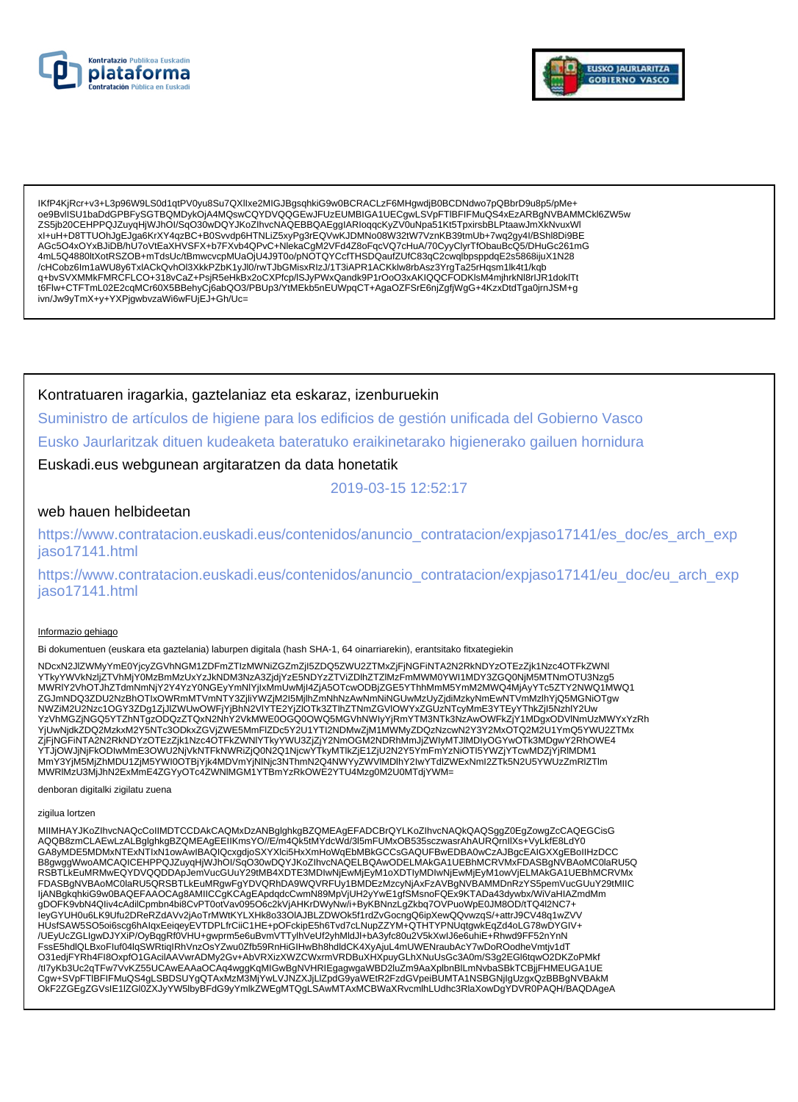



IKfP4KjRcr+v3+L3p96W9LS0d1qtPV0yu8Su7QXllxe2MIGJBgsqhkiG9w0BCRACLzF6MHgwdjB0BCDNdwo7pQBbrD9u8p5/pMe+ 0e9BvISU1baDdGPBFySGTBQMDykOjA4MQswCQYDVQQGEwJFUzEUMBIGA1UECqwLSVpFTIBFIFMuQS4xEzARBqNVBAMMCkl6ZW5w ZS5jb20CEHPPQJZuyqHjWJhOI/SqO30wDQYJKoZIhvcNAQEBBQAEggIARIoqqcKyZV0uNpa51Kt5TpxirsbBLPtaawJmXkNvuxWI xl+uH+D8TTUOhJgEJga6KrXY4qzBC+B0Svvdp6HTNLiZ5xyPg3rEQVwKJDMNo08W32tW7VznKB39tmUb+7wq2gy4l/BShl8Di9BE AGc5O4xOYxBJiDB/hU7oVtEaXHVSFX+b7FXvb4QPvC+NlekaCgM2VFd4Z8oFqcVQ7cHuA/70CyyClyrTfObauBcQ5/DHuGc261mG 4mL5Q4880ltXotRSZOB+mTdsUc/tBmwcvcpMUaOjU4J9T0o/pNOTQYCcfTHSDQaufZUfC83qC2cwqlbpsppdqE2s5868ijuX1N28 /cHCobz6lm1aWU8y6TxlACkQvhOl3XkkPZbK1yJl0/rwTJbGMisxRIzJ/1T3iAPR1ACKklw8rbAsz3YrgTa25rHqsm1lk4t1/kqb<br>q+bvSVXMMkFMRCFLCO+318vCaZ+PsjR5eHkBx2oCXPfcp/lSJyPWxQandk9P1rOoO3xAKIQQCFODKlsM4mjhrkNl8rIJR1doklTt t6Flw+CTFTmL02E2cqMCr60X5BBehyCj6abQO3/PBUp3/YtMEkb5nEUWpqCT+AgaOZFSrE6njZgfjWgG+4KzxDtdTga0jrnJSM+g ivn/Jw9yTmX+y+YXPjgwbvzaWi6wFUjEJ+Gh/Uc=

Kontratuaren iragarkia, gaztelaniaz eta eskaraz, izenburuekin

Suministro de artículos de higiene para los edificios de gestión unificada del Gobierno Vasco Eusko Jaurlaritzak dituen kudeaketa bateratuko eraikinetarako higienerako gailuen hornidura

Euskadi.eus webgunean argitaratzen da data honetatik

2019-03-15 12:52:17

### web hauen helbideetan

https://www.contratacion.euskadi.eus/contenidos/anuncio contratacion/expjaso17141/es doc/es arch exp jaso17141.html

https://www.contratacion.euskadi.eus/contenidos/anuncio\_contratacion/expjaso17141/eu\_doc/eu\_arch\_exp jaso17141.html

#### Informazio gehiago

Bi dokumentuen (euskara eta gaztelania) laburpen digitala (hash SHA-1, 64 oinarriarekin), erantsitako fitxategiekin

NDcxN2JIZWMyYmE0YjcyZGVhNGM1ZDFmZTIzMWNiZGZmZjI5ZDQ5ZWU2ZTMxZjFjNGFiNTA2N2RkNDYzOTEzZjk1Nzc4OTFkZWNI YTkyYWVkNzijŹTVhMjY0MzBmMzUxYzJkNDM3NzA3ZjdjYzE5NDYzZTViZDlhZTZlMzFmMWM0YWI1MDY3ZGQ0NjM5MTNmOTU3Nzq5 MWRIY2VhOTJhZTdmNmNjY2Y4YzY0NGEyYmNIYjixMmUwMjl4ZjA5OTcwODBiZGE5YThhMmM5YmM2MWQ4MjAyYTc5ZTY2NWQ1MWQ1 ZGJmNDQ3ZDU2NzBhOTIxOWRmMTVmNTY3ZjilYWZjM2I5MjlhZmNhNzAwNmNiNGUwMzUyZjdiMzkyNmEwNTVmMzlhYjQ5MGNiOTgw NWZiM2U2Nzc1OGY3ZDg1ZjJlZWUwOWFjYjBhN2VIYTE2YjZIOTk3ZTlhZTNmZGVIOWYxZGUzNTcyMmE3YTEyYThkZjl5NzhIY2Uw YzVhMGZjNGQ5YTZhNTgzODQzZTQxN2NnY2VkMWE0OGQ0OWQ5MGVhNWlyYjRmYTM3NTk3NzAwOWFkZjY1MDgxODVlNmUzMWYxYzRh YjUwNjdkZDQ2MzkxM2Y5NTc3ODkxZGVjZWE5MmFlZDc5Y2U1YTl2NDMwZjM1MWMyZDQzNzcwN2Y3Y2MxOTQ2M2U1YmQ5YWU2ZTMx TJOWIJNIAZZOWANIA TONTOSODKAZU VJENENIHITELIJOST ZO TTTIZNOMNAJMI MNVRIJZWIJANDI JIZOVOTNEM MORALNOVE ZA PRAVA<br>ZJEJNOG INTAZNIZRKNO Y ZOTEZZJKI NIZGAOTFRZWNIYTKY YWU3ZJZJY 2NmOGM2NDRhMmJJZWIJAMTJIMDIJOGY WOTK3MDgwY2RhOWE4<br>

denboran digitalki zigilatu zuena

zigilua lortzen

MIIMHAYJKoZIhvcNAQcCoIIMDTCCDAkCAQMxDzANBglghkgBZQMEAgEFADCBrQYLKoZIhvcNAQkQAQSggZ0EgZowgZcCAQEGCisG AQQB8zmCLAEwLzALBglghkgBZQMEAgEEIIKmsYO//E/m4Qk5tMYdcWd/3I5mFUMxOB535sczwasrAhAURQrnllXs+VyLKfE8LdY0 GA8yMDE5MDMxNTExNTIxN1owAwIBAQIQcxgdjoSXYXIci5HxXmHoWqEbMBkGCCsGAQUFBwEDBA0wCzAJBgcEAIGXXgEBoIIHzDCC B8gwggWwoAMCAQICEHPPQJZuyqHjWJhOI/SqO30wDQYJKoZIhvcNAQELBQAwODELMAkGA1UEBhMCRVMxFDASBgNVBAoMC0laRU5Q RSBTLkEuMRMwEQYDVQQDDApJemVucGUuY29tMB4XDTE3MDIwNjEwMjEyM1oXDTIyMDIwNjEwMjEyM1owVjELMAkGA1UEBhMCRVMx FDASBgNVBAoMC0laRU5QRSBTLkEuMRgwFgYDVQRhDA9WQVRFUy1BMDEzMzcyNjAxFzAVBgNVBAMMDnRzYS5pemVucGUuY29tMIIC<br>IjANBgkqhkiG9w0BAQEFAAOCAg8AMIICCgKCAgEApdqdcCwmN89MpVjUH2yYwE1gfSMsnoFQEx9KTADa43dywbx/WiVaHIAZmdMm HUsfSAW5SO5oi6scg6hAlqxEeiqeyEVTDPLfrCiiC1HE+pOFckipE5h6Tvd7cLNupZZYM+QTHTYPNUqtgwkEqZd4oLG78wDYGIV+ /UEyUcZGLIgwDJYXiP/OyBqgRf0VHU+gwprm5e6uBvmVTTylhVeUf2yhMldJl+bA3yfc80u2V5kXwlJ6e6uniE+Rhwd9FF52nYnN FssE5hdlQLBxoFluf04lqSWRtiqIRhVnzOsYZwu0Zfb59RnHiGIHwBh8hdldCK4XyAjuL4mUWENraubAcY7wDoROodheVmtjv1dT O31edjFYRh4Fl8OxpfO1GAcilAAVwrADMy2Gv+AbVRXizXWZCWxrmVRDBuXHXpuyGLhXNuUsGc3A0m/S3g2EGl6tqwO2DKZoPMkf /tl7yKb3Uc2qTFw7VvKZ55UCAwEAAaOCAq4wggKqMlGwBgNVHRIEgagwgaWBD2IuZm9AaXplbnBlLmNvbaSBkTCBjjFHMEUGA1UE<br>Cgw+SVpFTIBFIFMuQS4gLSBDSUYgQTAxMzM3MjYwLVJNZXJjLlZpdG9yaWEtR2FzdGVpeiBUMTA1NSBGNjlgUzgxQzBBBgNVBAkM OKF2ZGEgZGVsIE1IZGI0ZXJyYW5lbyBFdG9yYmlkZWEgMTQgLSAwMTAxMCBWaXRvcmlhLUdhc3RlaXowDgYDVR0PAQH/BAQDAgeA